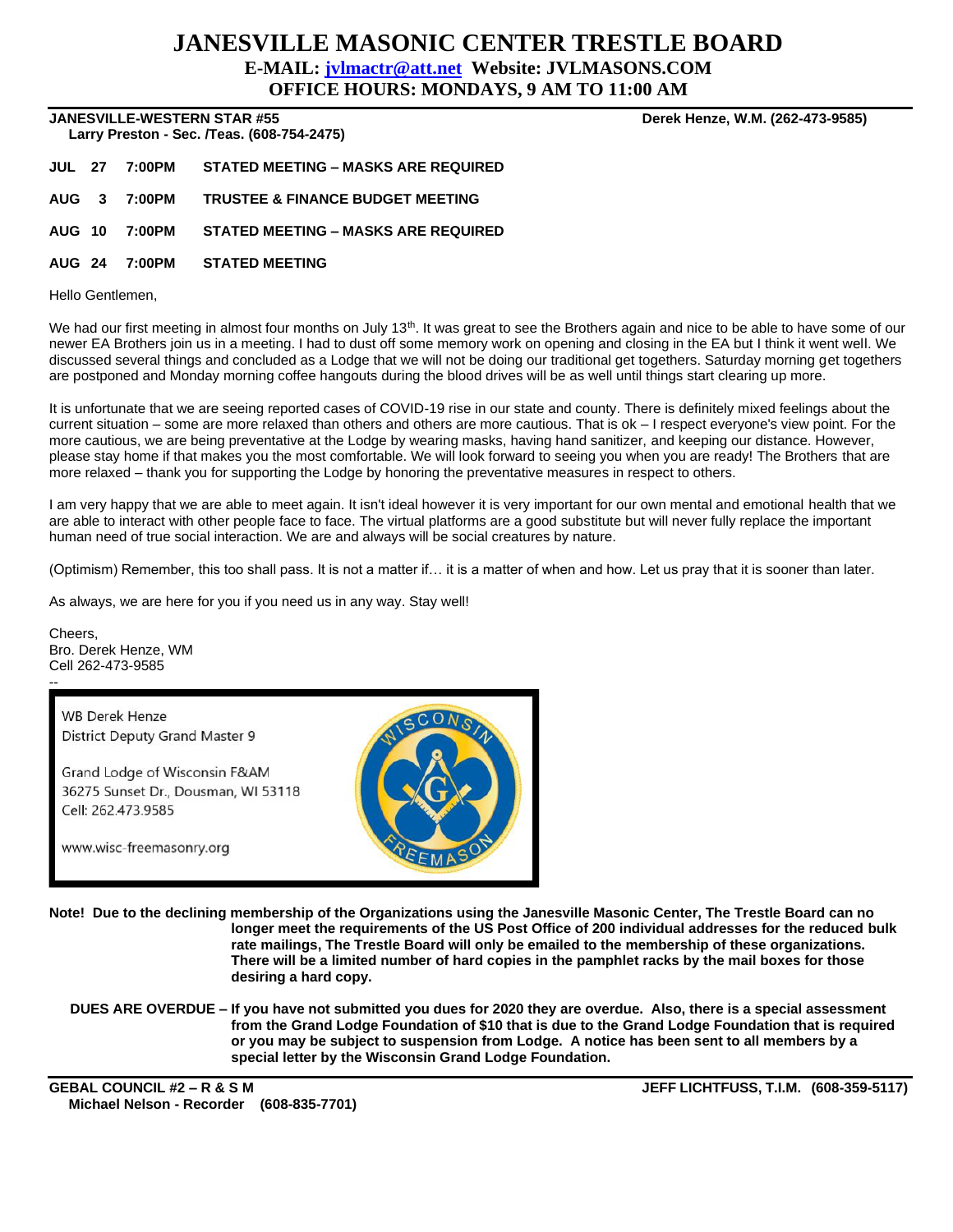## **JANESVILLE MASONIC CENTER TRESTLE BOARD E-MAIL: [jvlmactr@att.net](mailto:jvlmactr@att.net) Website: JVLMASONS.COM**

**OFFICE HOURS: MONDAYS, 9 AM TO 11:00 AM**

**JANESVILLE-WESTERN STAR #55 Derek Henze, W.M. (262-473-9585)**

 **Larry Preston - Sec. /Teas. (608-754-2475)** 

**JUL 27 7:00PM STATED MEETING – MASKS ARE REQUIRED AUG 3 7:00PM TRUSTEE & FINANCE BUDGET MEETING**

**AUG 10 7:00PM STATED MEETING – MASKS ARE REQUIRED**

**AUG 24 7:00PM STATED MEETING**

Hello Gentlemen,

We had our first meeting in almost four months on July 13<sup>th</sup>. It was great to see the Brothers again and nice to be able to have some of our newer EA Brothers join us in a meeting. I had to dust off some memory work on opening and closing in the EA but I think it went well. We discussed several things and concluded as a Lodge that we will not be doing our traditional get togethers. Saturday morning get togethers are postponed and Monday morning coffee hangouts during the blood drives will be as well until things start clearing up more.

It is unfortunate that we are seeing reported cases of COVID-19 rise in our state and county. There is definitely mixed feelings about the current situation – some are more relaxed than others and others are more cautious. That is ok – I respect everyone's view point. For the more cautious, we are being preventative at the Lodge by wearing masks, having hand sanitizer, and keeping our distance. However, please stay home if that makes you the most comfortable. We will look forward to seeing you when you are ready! The Brothers that are more relaxed – thank you for supporting the Lodge by honoring the preventative measures in respect to others.

I am very happy that we are able to meet again. It isn't ideal however it is very important for our own mental and emotional health that we are able to interact with other people face to face. The virtual platforms are a good substitute but will never fully replace the important human need of true social interaction. We are and always will be social creatures by nature.

(Optimism) Remember, this too shall pass. It is not a matter if… it is a matter of when and how. Let us pray that it is sooner than later.

As always, we are here for you if you need us in any way. Stay well!

Cheers, Bro. Derek Henze, WM Cell 262-473-9585 --

**WB Derek Henze** District Deputy Grand Master 9

Grand Lodge of Wisconsin F&AM 36275 Sunset Dr., Dousman, WI 53118 Cell: 262.473.9585

www.wisc-freemasonry.org



**Note! Due to the declining membership of the Organizations using the Janesville Masonic Center, The Trestle Board can no longer meet the requirements of the US Post Office of 200 individual addresses for the reduced bulk rate mailings, The Trestle Board will only be emailed to the membership of these organizations. There will be a limited number of hard copies in the pamphlet racks by the mail boxes for those desiring a hard copy.**

**DUES ARE OVERDUE – If you have not submitted you dues for 2020 they are overdue. Also, there is a special assessment from the Grand Lodge Foundation of \$10 that is due to the Grand Lodge Foundation that is required or you may be subject to suspension from Lodge. A notice has been sent to all members by a special letter by the Wisconsin Grand Lodge Foundation.**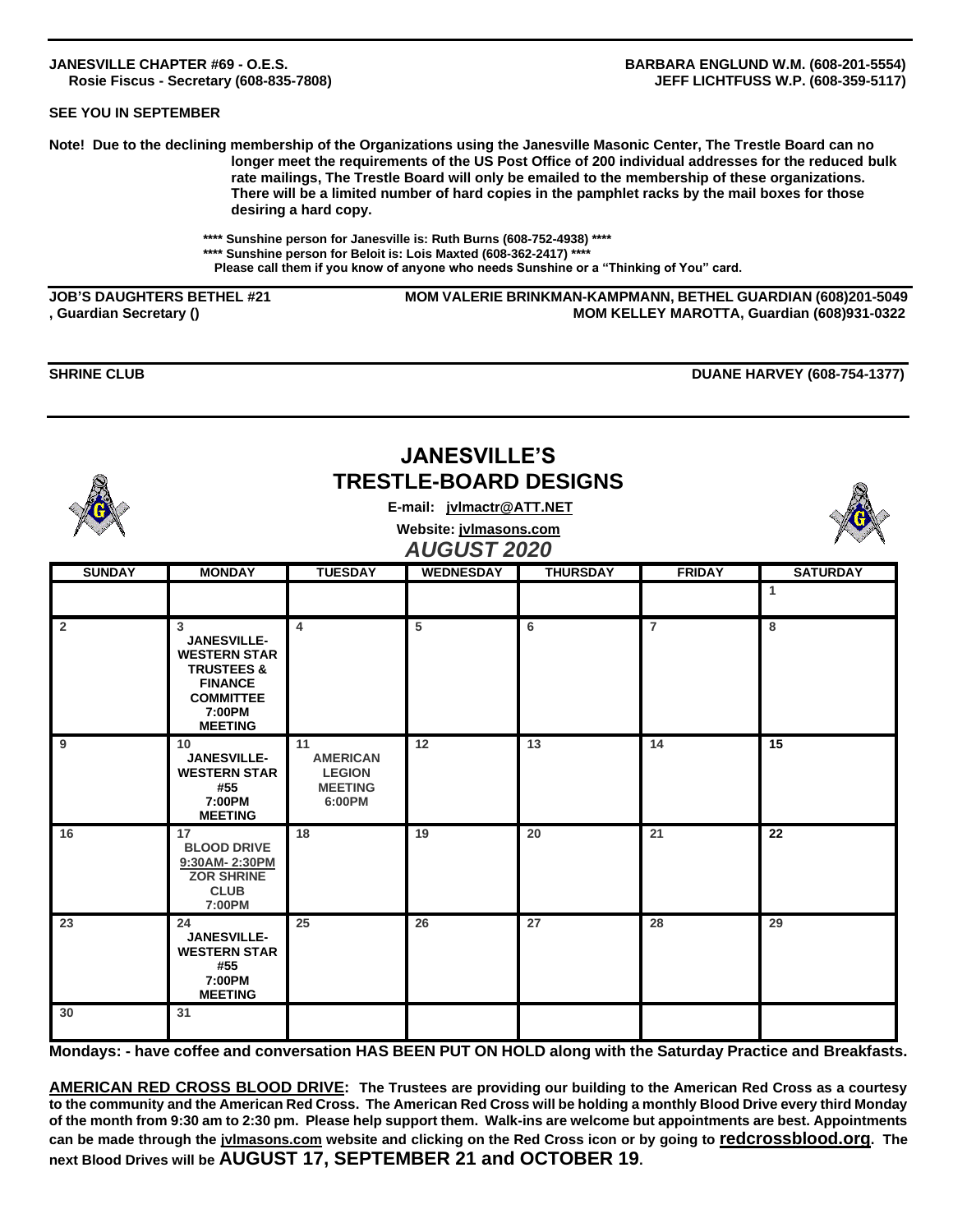## **SEE YOU IN SEPTEMBER**

**Note! Due to the declining membership of the Organizations using the Janesville Masonic Center, The Trestle Board can no longer meet the requirements of the US Post Office of 200 individual addresses for the reduced bulk rate mailings, The Trestle Board will only be emailed to the membership of these organizations. There will be a limited number of hard copies in the pamphlet racks by the mail boxes for those desiring a hard copy.**

> **\*\*\*\* Sunshine person for Janesville is: Ruth Burns (608-752-4938) \*\*\*\* \*\*\*\* Sunshine person for Beloit is: Lois Maxted (608-362-2417) \*\*\*\* Please call them if you know of anyone who needs Sunshine or a "Thinking of You" card.**

**JOB'S DAUGHTERS BETHEL #21 MOM VALERIE BRINKMAN-KAMPMANN, BETHEL GUARDIAN (608)201-5049 , Guardian Secretary () MOM KELLEY MAROTTA, Guardian (608)931-0322**

**SHRINE CLUB** DUANE HARVEY (608-754-1377)

|                | <b>JANESVILLE'S</b><br><b>TRESTLE-BOARD DESIGNS</b><br>E-mail: jvlmactr@ATT.NET<br>Website: jvlmasons.com<br><b>AUGUST 2020</b>           |                                                                    |                  |                 |                |                 |
|----------------|-------------------------------------------------------------------------------------------------------------------------------------------|--------------------------------------------------------------------|------------------|-----------------|----------------|-----------------|
| <b>SUNDAY</b>  | <b>MONDAY</b>                                                                                                                             | <b>TUESDAY</b>                                                     | <b>WEDNESDAY</b> | <b>THURSDAY</b> | <b>FRIDAY</b>  | <b>SATURDAY</b> |
|                |                                                                                                                                           |                                                                    |                  |                 |                | $\mathbf{1}$    |
| $\overline{2}$ | 3<br><b>JANESVILLE-</b><br><b>WESTERN STAR</b><br><b>TRUSTEES &amp;</b><br><b>FINANCE</b><br><b>COMMITTEE</b><br>7:00PM<br><b>MEETING</b> | $\overline{4}$                                                     | 5                | 6               | $\overline{7}$ | 8               |
| 9              | 10<br><b>JANESVILLE-</b><br><b>WESTERN STAR</b><br>#55<br>7:00PM<br><b>MEETING</b>                                                        | 11<br><b>AMERICAN</b><br><b>LEGION</b><br><b>MEETING</b><br>6:00PM | 12               | 13              | 14             | 15              |
| 16             | 17<br><b>BLOOD DRIVE</b><br>9:30AM-2:30PM<br><b>ZOR SHRINE</b><br><b>CLUB</b><br>7:00PM                                                   | 18                                                                 | 19               | 20              | 21             | 22              |
| 23             | 24<br><b>JANESVILLE-</b><br><b>WESTERN STAR</b><br>#55<br>7:00PM<br><b>MEETING</b>                                                        | 25                                                                 | 26               | 27              | 28             | 29              |
| 30             | 31                                                                                                                                        |                                                                    |                  |                 |                |                 |

**Mondays: - have coffee and conversation HAS BEEN PUT ON HOLD along with the Saturday Practice and Breakfasts.**

**AMERICAN RED CROSS BLOOD DRIVE: The Trustees are providing our building to the American Red Cross as a courtesy to the community and the American Red Cross. The American Red Cross will be holding a monthly Blood Drive every third Monday of the month from 9:30 am to 2:30 pm. Please help support them. Walk-ins are welcome but appointments are best. Appointments can be made through the jvlmasons.com website and clicking on the Red Cross icon or by going to redcrossblood.org. The next Blood Drives will be AUGUST 17, SEPTEMBER 21 and OCTOBER 19.**